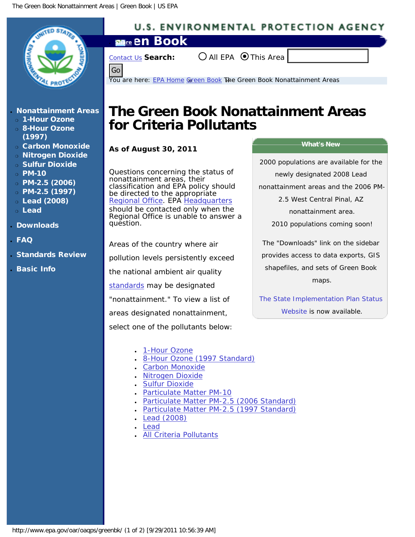<span id="page-0-0"></span>

http://www.epa.gov/oar/oaqps/greenbk/ (1 of 2) [9/29/2011 10:56:39 AM]